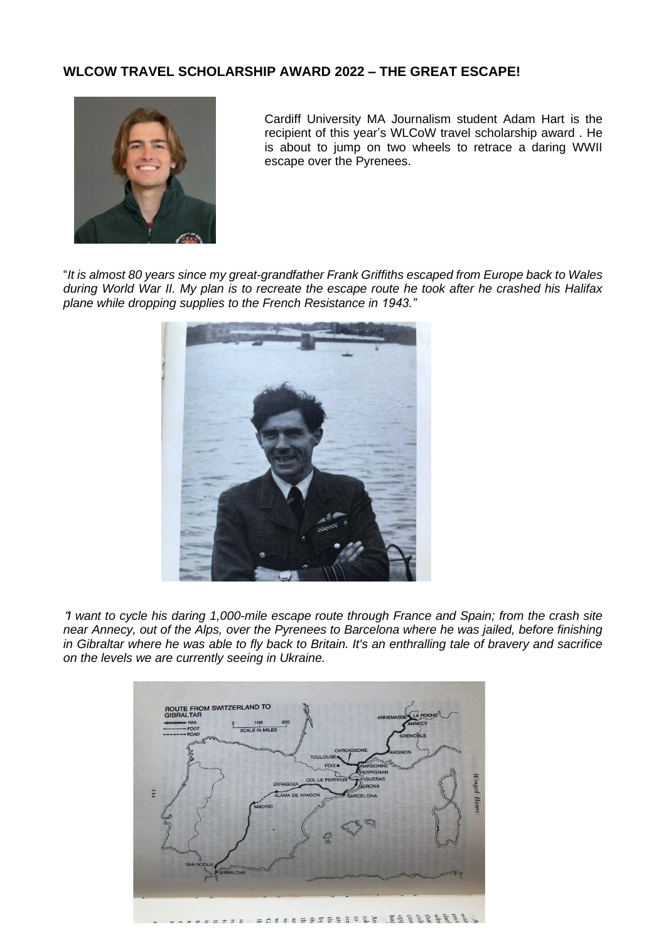## **WLCOW TRAVEL SCHOLARSHIP AWARD 2022 – THE GREAT ESCAPE!**



Cardiff University MA Journalism student Adam Hart is the recipient of this year's WLCoW travel scholarship award . He is about to jump on two wheels to retrace a daring WWII escape over the Pyrenees.

"*It is almost 80 years since my great-grandfather Frank Griffiths escaped from Europe back to Wales* during World War II. My plan is to recreate the escape route he took after he crashed his Halifax *plane while dropping supplies to the French Resistance in 1943."*



"*I want to cycle his daring 1,000-mile escape route through France and Spain; from the crash site near Annecy, out of the Alps, over the Pyrenees to Barcelona where he was jailed, before finishing* in Gibraltar where he was able to fly back to Britain. It's an enthralling tale of bravery and sacrifice *on the levels we are currently seeing in Ukraine.*